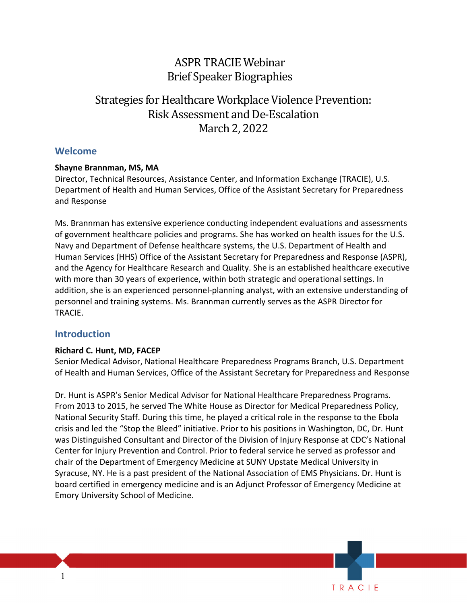## ASPR TRACIE Webinar Brief Speaker Biographies

# Strategies for Healthcare Workplace Violence Prevention: Risk Assessment and De-Escalation March 2, 2022

## **Welcome**

#### **Shayne Brannman, MS, MA**

Director, Technical Resources, Assistance Center, and Information Exchange (TRACIE), U.S. Department of Health and Human Services, Office of the Assistant Secretary for Preparedness and Response

 of government healthcare policies and programs. She has worked on health issues for the U.S. and the Agency for Healthcare Research and Quality. She is an established healthcare executive Ms. Brannman has extensive experience conducting independent evaluations and assessments Navy and Department of Defense healthcare systems, the U.S. Department of Health and Human Services (HHS) Office of the Assistant Secretary for Preparedness and Response (ASPR), with more than 30 years of experience, within both strategic and operational settings. In addition, she is an experienced personnel-planning analyst, with an extensive understanding of personnel and training systems. Ms. Brannman currently serves as the ASPR Director for TRACIE.

## **Introduction**

#### **Richard C. Hunt, MD, FACEP**

Senior Medical Advisor, National Healthcare Preparedness Programs Branch, U.S. Department of Health and Human Services, Office of the Assistant Secretary for Preparedness and Response

 Dr. Hunt is ASPR's Senior Medical Advisor for National Healthcare Preparedness Programs. From 2013 to 2015, he served The White House as Director for Medical Preparedness Policy, National Security Staff. During this time, he played a critical role in the response to the Ebola crisis and led the "Stop the Bleed" initiative. Prior to his positions in Washington, DC, Dr. Hunt was Distinguished Consultant and Director of the Division of Injury Response at CDC's National chair of the Department of Emergency Medicine at SUNY Upstate Medical University in Emory University School of Medicine. Center for Injury Prevention and Control. Prior to federal service he served as professor and Syracuse, NY. He is a past president of the National Association of EMS Physicians. Dr. Hunt is board certified in emergency medicine and is an Adjunct Professor of Emergency Medicine at

TRACIE